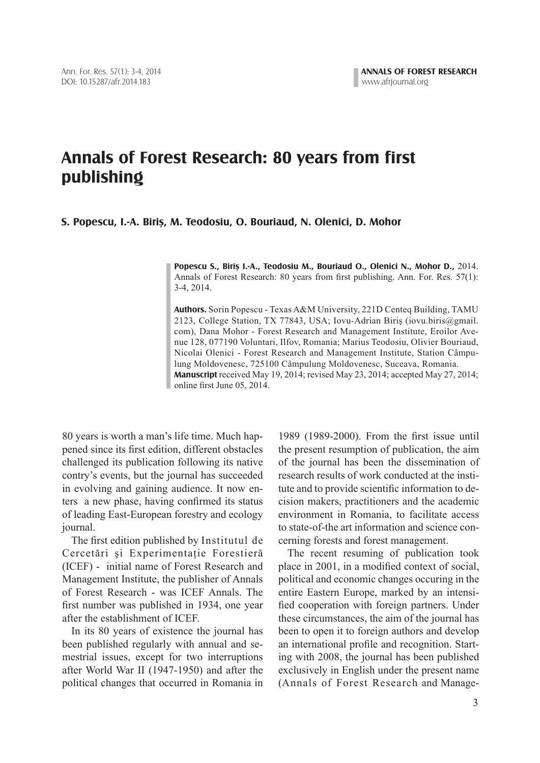## **Annals of Forest Research: 80 years from first publishing**

**S. Popescu, I.-A. Biriş, M. Teodosiu, O. Bouriaud, N. Olenici, D. Mohor**

**Popescu S., Biriş I.-A., Teodosiu M., Bouriaud O., Olenici N., Mohor D.,** 2014. Annals of Forest Research: 80 years from first publishing. Ann. For. Res.  $57(1)$ : 3-4, 2014.

**Authors.** Sorin Popescu - Texas A&M University, 221D Centeq Building, TAMU 2123, College Station, TX 77843, USA; Iovu-Adrian Biriş (iovu.biris@gmail. com), Dana Mohor - Forest Research and Management Institute, Eroilor Avenue 128, 077190 Voluntari, Ilfov, Romania; Marius Teodosiu, Olivier Bouriaud, Nicolai Olenici - Forest Research and Management Institute, Station Câmpulung Moldovenesc, 725100 Câmpulung Moldovenesc, Suceava, Romania. **Manuscript** received May 19, 2014; revised May 23, 2014; accepted May 27, 2014; online first June 05, 2014.

80 years is worth a man's life time. Much happened since its first edition, different obstacles challenged its publication following its native contry's events, but the journal has succeeded in evolving and gaining audience. It now enters a new phase, having confirmed its status of leading East-European forestry and ecology journal.

The first edition published by Institutul de Cercetări și Experimentație Forestieră (ICEF) - initial name of Forest Research and Management Institute, the publisher of Annals of Forest Research - was ICEF Annals. The first number was published in 1934, one year after the establishment of ICEF.

 In its 80 years of existence the journal has been published regularly with annual and semestrial issues, except for two interruptions after World War II (1947-1950) and after the political changes that occurred in Romania in

1989 (1989-2000). From the first issue until the present resumption of publication, the aim of the journal has been the dissemination of research results of work conducted at the institute and to provide scientific information to decision makers, practitioners and the academic environment in Romania, to facilitate access to state-of-the art information and science concerning forests and forest management.

 The recent resuming of publication took place in 2001, in a modified context of social, political and economic changes occuring in the entire Eastern Europe, marked by an intensified cooperation with foreign partners. Under these circumstances, the aim of the journal has been to open it to foreign authors and develop an international profile and recognition. Starting with 2008, the journal has been published exclusively in English under the present name (Annals of Forest Research and Manage